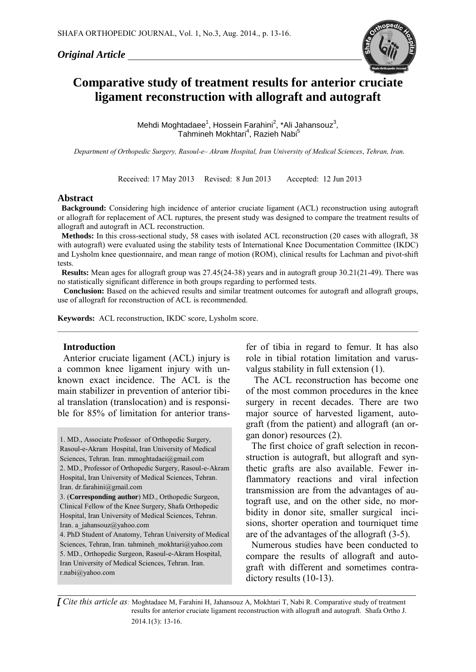#### *Original Article \_\_\_\_\_\_\_\_\_\_\_\_\_\_\_\_\_\_\_\_\_\_\_\_\_\_\_\_\_\_\_\_\_\_\_\_\_\_\_\_\_\_\_\_\_*



# **Comparative study of treatment results for anterior cruciate ligament reconstruction with allograft and autograft**

Mehdi Moghtadaee<sup>1</sup>, Hossein Farahini<sup>2</sup>, \*Ali Jahansouz<sup>3</sup>, Tahmineh Mokhtari<sup>4</sup>, Razieh Nabi<sup>5</sup>

*Department of Orthopedic Surgery, Rasoul-e– Akram Hospital, Iran University of Medical Sciences*, *Tehran, Iran.*

Received: 17 May 2013 Revised: 8 Jun 2013 Accepted: 12 Jun 2013

#### **Abstract**

 **Background:** Considering high incidence of anterior cruciate ligament (ACL) reconstruction using autograft or allograft for replacement of ACL ruptures, the present study was designed to compare the treatment results of allograft and autograft in ACL reconstruction.

 **Methods:** In this cross-sectional study, 58 cases with isolated ACL reconstruction (20 cases with allograft, 38 with autograft) were evaluated using the stability tests of International Knee Documentation Committee (IKDC) and Lysholm knee questionnaire, and mean range of motion (ROM), clinical results for Lachman and pivot-shift tests.

 **Results:** Mean ages for allograft group was 27.45(24-38) years and in autograft group 30.21(21-49). There was no statistically significant difference in both groups regarding to performed tests.

**Conclusion:** Based on the achieved results and similar treatment outcomes for autograft and allograft groups, use of allograft for reconstruction of ACL is recommended.

 $\_$  , and the set of the set of the set of the set of the set of the set of the set of the set of the set of the set of the set of the set of the set of the set of the set of the set of the set of the set of the set of th

**Keywords:** ACL reconstruction, IKDC score, Lysholm score.

#### **Introduction**

Anterior cruciate ligament (ACL) injury is a common knee ligament injury with unknown exact incidence. The ACL is the main stabilizer in prevention of anterior tibial translation (translocation) and is responsible for 85% of limitation for anterior trans-

1. MD., Associate Professor of Orthopedic Surgery, Rasoul-e-Akram Hospital, Iran University of Medical Sciences, Tehran. Iran. [mmoghtadaei@gmail.com](mailto:mmoghtadaei@gmail.com) 2. MD., Professor of Orthopedic Surgery, Rasoul-e-Akram Hospital, Iran University of Medical Sciences, Tehran. Iran. [dr.farahini@gmail.com](mailto:dr.farahini@gmail.com)

3. (**Corresponding author**) MD., Orthopedic Surgeon, Clinical Fellow of the Knee Surgery, Shafa Orthopedic Hospital, Iran University of Medical Sciences, Tehran. Iran. [a\\_jahansouz@yahoo.com](mailto:a_jahansouz@yahoo.com)

2. 4. PhD Student of Anatomy, Tehran University of Medical Sciences, Tehran, Iran. [tahmineh\\_mokhtari@yahoo.com](mailto:mokhtari.tmn@gmail.com) 5. MD., Orthopedic Surgeon, Rasoul-e-Akram Hospital, Iran University of Medical Sciences, Tehran. Iran. [r.nabi@yahoo.com](mailto:r.nabi@yahoo.com)

fer of tibia in regard to femur. It has also role in tibial rotation limitation and varusvalgus stability in full extension (1).

The ACL reconstruction has become one of the most common procedures in the knee surgery in recent decades. There are two major source of harvested ligament, autograft (from the patient) and allograft (an organ donor) resources (2).

The first choice of graft selection in reconstruction is autograft, but allograft and synthetic grafts are also available. Fewer inflammatory reactions and viral infection transmission are from the advantages of autograft use, and on the other side, no morbidity in donor site, smaller surgical incisions, shorter operation and tourniquet time are of the advantages of the allograft (3-5).

Numerous studies have been conducted to compare the results of allograft and autograft with different and sometimes contradictory results (10-13).

*[ Cite this article as:* Moghtadaee M, Farahini H, Jahansouz A, Mokhtari T, Nabi R. Comparative study of treatment results for anterior cruciate ligament reconstruction with allograft and autograft. Shafa Ortho J. 2014.1(3): 13-16.

*\_\_\_\_\_\_\_\_\_\_\_\_\_\_\_\_\_\_\_\_\_\_\_\_\_\_\_\_\_\_\_\_\_\_\_\_\_\_\_\_\_\_\_\_\_\_\_\_\_\_\_\_\_\_\_\_\_\_\_\_\_\_\_\_\_\_\_\_\_*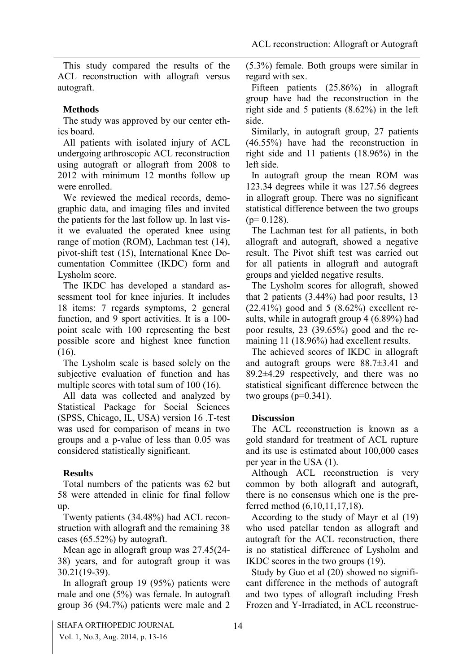This study compared the results of the ACL reconstruction with allograft versus autograft.

# **Methods**

The study was approved by our center ethics board.

All patients with isolated injury of ACL undergoing arthroscopic ACL reconstruction using autograft or allograft from 2008 to 2012 with minimum 12 months follow up were enrolled.

We reviewed the medical records, demographic data, and imaging files and invited the patients for the last follow up. In last visit we evaluated the operated knee using range of motion (ROM), Lachman test (14), pivot-shift test (15), International Knee Documentation Committee (IKDC) form and Lysholm score.

The IKDC has developed a standard assessment tool for knee injuries. It includes 18 items: 7 regards symptoms, 2 general function, and 9 sport activities. It is a 100 point scale with 100 representing the best possible score and highest knee function (16).

The Lysholm scale is based solely on the subjective evaluation of function and has multiple scores with total sum of 100 (16).

All data was collected and analyzed by Statistical Package for Social Sciences (SPSS, Chicago, IL, USA) version 16 .T-test was used for comparison of means in two groups and a p-value of less than 0.05 was considered statistically significant.

# **Results**

Total numbers of the patients was 62 but 58 were attended in clinic for final follow up.

Twenty patients (34.48%) had ACL reconstruction with allograft and the remaining 38 cases (65.52%) by autograft.

Mean age in allograft group was 27.45(24- 38) years, and for autograft group it was 30.21(19-39).

In allograft group 19 (95%) patients were male and one (5%) was female. In autograft group 36 (94.7%) patients were male and 2

(5.3%) female. Both groups were similar in regard with sex.

Fifteen patients (25.86%) in allograft group have had the reconstruction in the right side and 5 patients (8.62%) in the left side.

Similarly, in autograft group, 27 patients (46.55%) have had the reconstruction in right side and 11 patients (18.96%) in the left side.

In autograft group the mean ROM was 123.34 degrees while it was 127.56 degrees in allograft group. There was no significant statistical difference between the two groups  $(p= 0.128)$ .

The Lachman test for all patients, in both allograft and autograft, showed a negative result. The Pivot shift test was carried out for all patients in allograft and autograft groups and yielded negative results.

The Lysholm scores for allograft, showed that 2 patients (3.44%) had poor results, 13  $(22.41\%)$  good and 5  $(8.62\%)$  excellent results, while in autograft group 4 (6.89%) had poor results, 23 (39.65%) good and the remaining 11 (18.96%) had excellent results.

The achieved scores of IKDC in allograft and autograft groups were 88.7±3.41 and 89.2±4.29 respectively, and there was no statistical significant difference between the two groups  $(p=0.341)$ .

# **Discussion**

The ACL reconstruction is known as a gold standard for treatment of ACL rupture and its use is estimated about 100,000 cases per year in the USA (1).

Although ACL reconstruction is very common by both allograft and autograft, there is no consensus which one is the preferred method (6,10,11,17,18).

According to the study of Mayr et al (19) who used patellar tendon as allograft and autograft for the ACL reconstruction, there is no statistical difference of Lysholm and IKDC scores in the two groups (19).

Study by Guo et al (20) showed no significant difference in the methods of autograft and two types of allograft including Fresh Frozen and Y-Irradiated, in ACL reconstruc-

SHAFA ORTHOPEDIC JOURNAL 14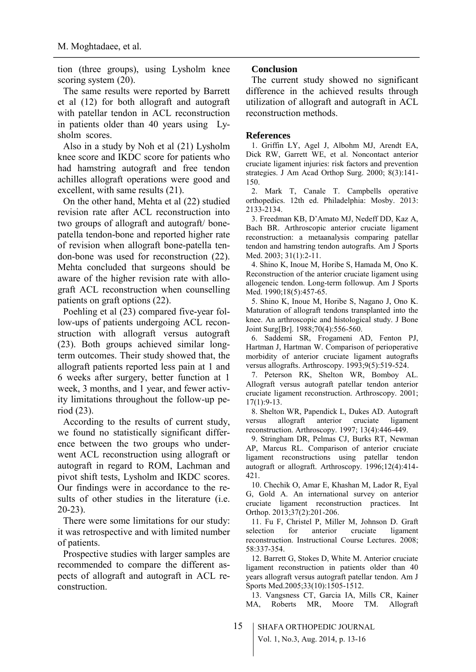tion (three groups), using Lysholm knee scoring system  $(20)$ .

The same results were reported by Barrett et al (12) for both allograft and autograft with patellar tendon in ACL reconstruction in patients older than 40 years using Lysholm scores.

Also in a study by Noh et al (21) Lysholm knee score and IKDC score for patients who had hamstring autograft and free tendon achilles allograft operations were good and excellent, with same results (21).

On the other hand, Mehta et al (22) studied revision rate after ACL reconstruction into two groups of allograft and autograft/ bonepatella tendon-bone and reported higher rate of revision when allograft bone-patella tendon-bone was used for reconstruction (22). Mehta concluded that surgeons should be aware of the higher revision rate with allograft ACL reconstruction when counselling patients on graft options (22).

Poehling et al (23) compared five-year follow-ups of patients undergoing ACL reconstruction with allograft versus autograft (23). Both groups achieved similar longterm outcomes. Their study showed that, the allograft patients reported less pain at 1 and 6 weeks after surgery, better function at 1 week, 3 months, and 1 year, and fewer activity limitations throughout the follow-up period (23).

According to the results of current study, we found no statistically significant difference between the two groups who underwent ACL reconstruction using allograft or autograft in regard to ROM, Lachman and pivot shift tests, Lysholm and IKDC scores. Our findings were in accordance to the results of other studies in the literature (i.e. 20-23).

There were some limitations for our study: it was retrospective and with limited number of patients.

Prospective studies with larger samples are recommended to compare the different aspects of allograft and autograft in ACL reconstruction.

### **Conclusion**

The current study showed no significant difference in the achieved results through utilization of allograft and autograft in ACL reconstruction methods.

### **References**

1. Griffin LY, Agel J, Albohm MJ, Arendt EA, Dick RW, Garrett WE, et al. Noncontact anterior cruciate ligament injuries: risk factors and prevention strategies. J Am Acad Orthop Surg. 2000; 8(3):141- 150.

2. Mark T, Canale T. Campbells operative orthopedics. 12th ed. Philadelphia: Mosby. 2013: 2133-2134.

3. Freedman KB, D'Amato MJ, Nedeff DD, Kaz A, Bach BR. Arthroscopic anterior cruciate ligament reconstruction: a metaanalysis comparing patellar tendon and hamstring tendon autografts. Am J Sports Med. 2003; 31(1):2-11.

4. Shino K, Inoue M, Horibe S, Hamada M, Ono K. Reconstruction of the anterior cruciate ligament using allogeneic tendon. Long-term followup. Am J Sports Med. 1990;18(5):457-65.

5. Shino K, Inoue M, Horibe S, Nagano J, Ono K. Maturation of allograft tendons transplanted into the knee. An arthroscopic and histological study. J Bone Joint Surg[Br]. 1988;70(4):556-560.

6. Saddemi SR, Frogameni AD, Fenton PJ, Hartman J, Hartman W. Comparison of perioperative morbidity of anterior cruciate ligament autografts versus allografts. Arthroscopy. 1993;9(5):519-524.

7. Peterson RK, Shelton WR, Bomboy AL. Allograft versus autograft patellar tendon anterior cruciate ligament reconstruction. Arthroscopy. 2001; 17(1):9-13.

8. Shelton WR, Papendick L, Dukes AD. Autograft versus allograft anterior cruciate ligament reconstruction. Arthroscopy. 1997; 13(4):446-449.

9. Stringham DR, Pelmas CJ, Burks RT, Newman AP, Marcus RL. Comparison of anterior cruciate ligament reconstructions using patellar tendon autograft or allograft. Arthroscopy. 1996;12(4):414- 421.

10. Chechik O, Amar E, Khashan M, Lador R, Eyal G, Gold A. An international survey on anterior cruciate ligament reconstruction practices. Int Orthop. 2013;37(2):201-206.

11. Fu F, Christel P, Miller M, Johnson D. Graft selection for anterior cruciate ligament reconstruction. Instructional Course Lectures. 2008; 58:337-354.

12. Barrett G, Stokes D, White M. Anterior cruciate ligament reconstruction in patients older than 40 years allograft versus autograft patellar tendon. Am J Sports Med.2005;33(10):1505-1512.

13. Vangsness CT, Garcia IA, Mills CR, Kainer MA, Roberts MR, Moore TM. Allograft